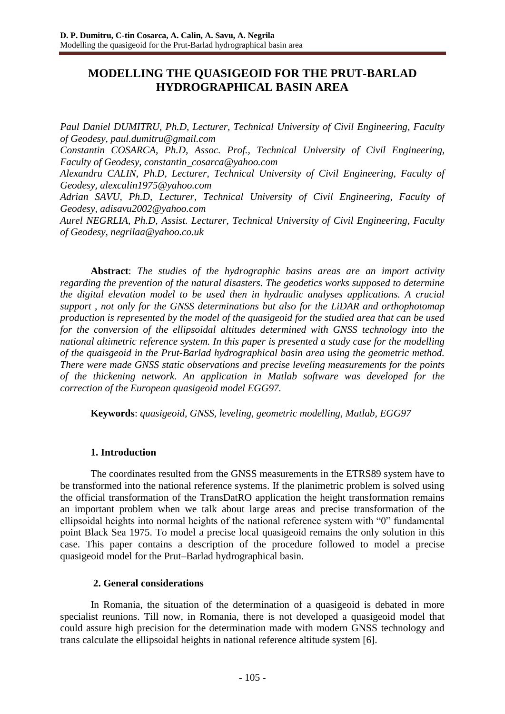# **MODELLING THE QUASIGEOID FOR THE PRUT-BARLAD HYDROGRAPHICAL BASIN AREA**

*Paul Daniel DUMITRU, Ph.D, Lecturer, Technical University of Civil Engineering, Faculty of Geodesy, paul.dumitru@gmail.com*

*Constantin COSARCA, Ph.D, Assoc. Prof., Technical University of Civil Engineering, Faculty of Geodesy, constantin\_cosarca@yahoo.com*

*Alexandru CALIN, Ph.D, Lecturer, Technical University of Civil Engineering, Faculty of Geodesy, alexcalin1975@yahoo.com*

*Adrian SAVU, Ph.D, Lecturer, Technical University of Civil Engineering, Faculty of Geodesy, adisavu2002@yahoo.com*

*Aurel NEGRLIA, Ph.D, Assist. Lecturer, Technical University of Civil Engineering, Faculty of Geodesy, negrilaa@yahoo.co.uk*

**Abstract**: *The studies of the hydrographic basins areas are an import activity regarding the prevention of the natural disasters. The geodetics works supposed to determine the digital elevation model to be used then in hydraulic analyses applications. A crucial support , not only for the GNSS determinations but also for the LiDAR and orthophotomap production is represented by the model of the quasigeoid for the studied area that can be used for the conversion of the ellipsoidal altitudes determined with GNSS technology into the national altimetric reference system. In this paper is presented a study case for the modelling of the quaisgeoid in the Prut-Barlad hydrographical basin area using the geometric method. There were made GNSS static observations and precise leveling measurements for the points of the thickening network. An application in Matlab software was developed for the correction of the European quasigeoid model EGG97.*

**Keywords**: *quasigeoid, GNSS, leveling, geometric modelling, Matlab, EGG97* 

## **1. Introduction**

The coordinates resulted from the GNSS measurements in the ETRS89 system have to be transformed into the national reference systems. If the planimetric problem is solved using the official transformation of the TransDatRO application the height transformation remains an important problem when we talk about large areas and precise transformation of the ellipsoidal heights into normal heights of the national reference system with "0" fundamental point Black Sea 1975. To model a precise local quasigeoid remains the only solution in this case. This paper contains a description of the procedure followed to model a precise quasigeoid model for the Prut–Barlad hydrographical basin.

## **2. General considerations**

In Romania, the situation of the determination of a quasigeoid is debated in more specialist reunions. Till now, in Romania, there is not developed a quasigeoid model that could assure high precision for the determination made with modern GNSS technology and trans calculate the ellipsoidal heights in national reference altitude system [6].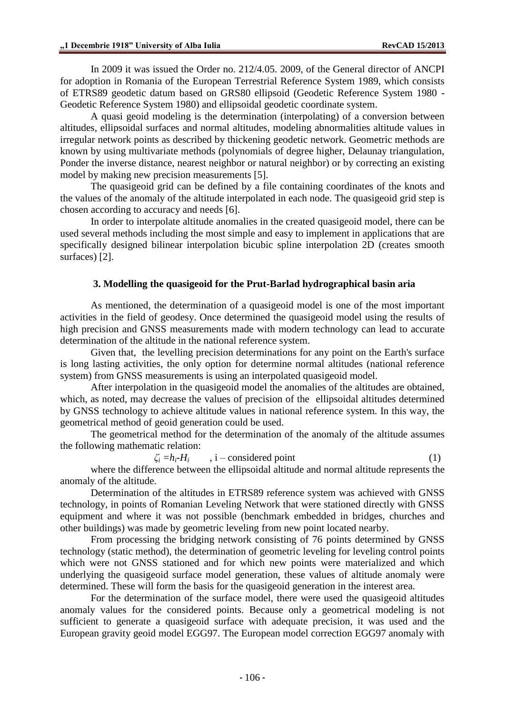In 2009 it was issued the Order no. 212/4.05. 2009, of the General director of ANCPI for adoption in Romania of the European Terrestrial Reference System 1989, which consists of ETRS89 geodetic datum based on GRS80 ellipsoid (Geodetic Reference System 1980 - Geodetic Reference System 1980) and ellipsoidal geodetic coordinate system.

A quasi geoid modeling is the determination (interpolating) of a conversion between altitudes, ellipsoidal surfaces and normal altitudes, modeling abnormalities altitude values in irregular network points as described by thickening geodetic network. Geometric methods are known by using multivariate methods (polynomials of degree higher, Delaunay triangulation, Ponder the inverse distance, nearest neighbor or natural neighbor) or by correcting an existing model by making new precision measurements [5].

The quasigeoid grid can be defined by a file containing coordinates of the knots and the values of the anomaly of the altitude interpolated in each node. The quasigeoid grid step is chosen according to accuracy and needs [6].

In order to interpolate altitude anomalies in the created quasigeoid model, there can be used several methods including the most simple and easy to implement in applications that are specifically designed bilinear interpolation bicubic spline interpolation 2D (creates smooth surfaces) [2].

# **3. Modelling the quasigeoid for the Prut-Barlad hydrographical basin aria**

As mentioned, the determination of a quasigeoid model is one of the most important activities in the field of geodesy. Once determined the quasigeoid model using the results of high precision and GNSS measurements made with modern technology can lead to accurate determination of the altitude in the national reference system.

Given that, the levelling precision determinations for any point on the Earth's surface is long lasting activities, the only option for determine normal altitudes (national reference system) from GNSS measurements is using an interpolated quasigeoid model.

After interpolation in the quasigeoid model the anomalies of the altitudes are obtained, which, as noted, may decrease the values of precision of the ellipsoidal altitudes determined by GNSS technology to achieve altitude values in national reference system. In this way, the geometrical method of geoid generation could be used.

The geometrical method for the determination of the anomaly of the altitude assumes the following mathematic relation:

$$
\zeta_i = h_i - H_i \qquad , i-considered point \qquad (1)
$$

where the difference between the ellipsoidal altitude and normal altitude represents the anomaly of the altitude.

Determination of the altitudes in ETRS89 reference system was achieved with GNSS technology, in points of Romanian Leveling Network that were stationed directly with GNSS equipment and where it was not possible (benchmark embedded in bridges, churches and other buildings) was made by geometric leveling from new point located nearby.

From processing the bridging network consisting of 76 points determined by GNSS technology (static method), the determination of geometric leveling for leveling control points which were not GNSS stationed and for which new points were materialized and which underlying the quasigeoid surface model generation, these values of altitude anomaly were determined. These will form the basis for the quasigeoid generation in the interest area.

For the determination of the surface model, there were used the quasigeoid altitudes anomaly values for the considered points. Because only a geometrical modeling is not sufficient to generate a quasigeoid surface with adequate precision, it was used and the European gravity geoid model EGG97. The European model correction EGG97 anomaly with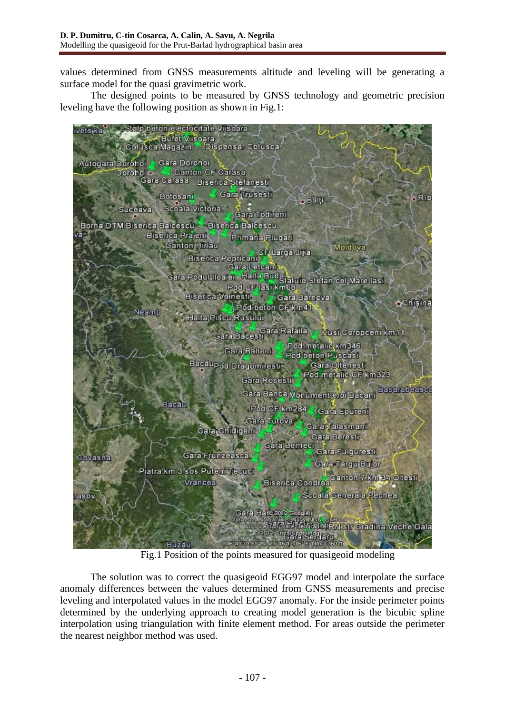values determined from GNSS measurements altitude and leveling will be generating a surface model for the quasi gravimetric work.

The designed points to be measured by GNSS technology and geometric precision leveling have the following position as shown in Fig.1:



Fig.1 Position of the points measured for quasigeoid modeling

The solution was to correct the quasigeoid EGG97 model and interpolate the surface anomaly differences between the values determined from GNSS measurements and precise leveling and interpolated values in the model EGG97 anomaly. For the inside perimeter points determined by the underlying approach to creating model generation is the bicubic spline interpolation using triangulation with finite element method. For areas outside the perimeter the nearest neighbor method was used.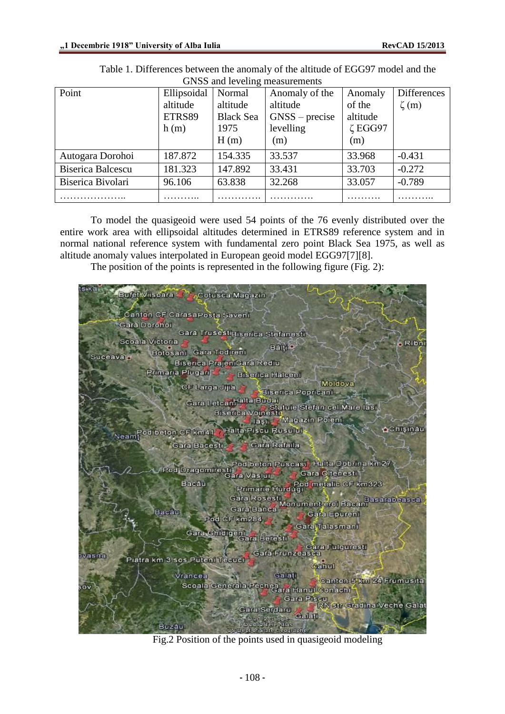| OF YOU and TO VOILING INCOMMUNICATION |             |                  |                  |               |                    |  |
|---------------------------------------|-------------|------------------|------------------|---------------|--------------------|--|
| Point                                 | Ellipsoidal | Normal           | Anomaly of the   | Anomaly       | <b>Differences</b> |  |
|                                       | altitude    | altitude         | altitude         | of the        | $\zeta$ (m)        |  |
|                                       | ETRS89      | <b>Black Sea</b> | $GNSS - precise$ | altitude      |                    |  |
|                                       | h(m)        | 1975             | levelling        | $\zeta$ EGG97 |                    |  |
|                                       |             | H(m)             | (m)              | (m)           |                    |  |
| Autogara Dorohoi                      | 187.872     | 154.335          | 33.537           | 33.968        | $-0.431$           |  |
| <b>Biserica Balcescu</b>              | 181.323     | 147.892          | 33.431           | 33.703        | $-0.272$           |  |
| Biserica Bivolari                     | 96.106      | 63.838           | 32.268           | 33.057        | $-0.789$           |  |
|                                       |             |                  |                  |               |                    |  |

Table 1. Differences between the anomaly of the altitude of EGG97 model and the GNSS and leveling measurements

To model the quasigeoid were used 54 points of the 76 evenly distributed over the entire work area with ellipsoidal altitudes determined in ETRS89 reference system and in normal national reference system with fundamental zero point Black Sea 1975, as well as altitude anomaly values interpolated in European geoid model EGG97[7][8].

The position of the points is represented in the following figure (Fig. 2):

Bufet Viisoara -Cotusca Magazin Canton CF CarasaPosta Savern Gara Dorohoi Gara Trusc<mark>ist Biserica Stefanesti</mark> Scoala Victoria Ribn Bant · Botosant, Gara Todirent Suceava<sub>r</sub> Biserica PrajeniQara Rediu rimaria Plugari **Biscrica Halconi** Moldova CF Larga Jijia **Biserica Popricani** etcanhella Budai<br>Biserica Voinesti, Statule Stefan cel Mare Iasi, laita Budai Gara Letcan laşı Magazin Pöleni ≙Chişinau Halta Piscu Rusului od beton CF km41 Neam **Gara Bacesti** Cara Rafaila d beton Puscasi<mark>, Ha</mark>lla Dobrina km2i Pod Dragomires Gara Oltenesti1 ara Vastul Bacau od metalic CF km323 Primarie Hurdug Monument erol Bacani Basarabeasca Gara Rosesti Gara Banca Bacau Gara Epurent Pod CF km284 Gard, Talasmant Gara Ghidigeni ara Beresti ara Fulguresti Gara Frunzeasca wasna Piatra km 3 sos Puteni Tecuci **Cahul** Vrancea, Galan Carton 5 km 24 Frumus ta Scoala Generala Pechea<br>Scoala Generala Pechea Hanul Conachi Gara Piscu W Str Gradina Veche Gala Gara Serdaru Buzau

Fig.2 Position of the points used in quasigeoid modeling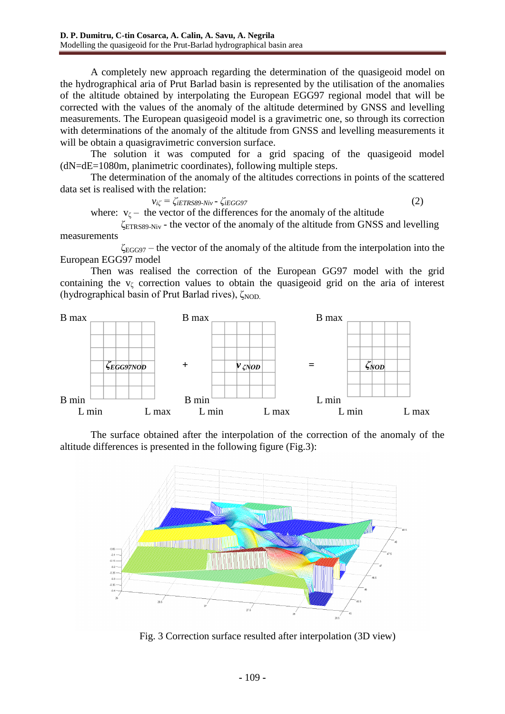A completely new approach regarding the determination of the quasigeoid model on the hydrographical aria of Prut Barlad basin is represented by the utilisation of the anomalies of the altitude obtained by interpolating the European EGG97 regional model that will be corrected with the values of the anomaly of the altitude determined by GNSS and levelling measurements. The European quasigeoid model is a gravimetric one, so through its correction with determinations of the anomaly of the altitude from GNSS and levelling measurements it will be obtain a quasigravimetric conversion surface.

The solution it was computed for a grid spacing of the quasigeoid model (dN=dE=1080m, planimetric coordinates), following multiple steps.

The determination of the anomaly of the altitudes corrections in points of the scattered data set is realised with the relation:

$$
v_{i\zeta} = \zeta_{iETRS89\text{-}Niv} - \zeta_{iEGG97} \tag{2}
$$

where:  $v_{\zeta}$  – the vector of the differences for the anomaly of the altitude

 $\zeta_{ETRSS9-Niv}$  - the vector of the anomaly of the altitude from GNSS and levelling measurements

 $\zeta_{EGG97}$  – the vector of the anomaly of the altitude from the interpolation into the European EGG97 model

Then was realised the correction of the European GG97 model with the grid containing the  $v_\zeta$  correction values to obtain the quasigeoid grid on the aria of interest (hydrographical basin of Prut Barlad rives), ζ<sub>NOD.</sub>



The surface obtained after the interpolation of the correction of the anomaly of the altitude differences is presented in the following figure (Fig.3):



Fig. 3 Correction surface resulted after interpolation (3D view)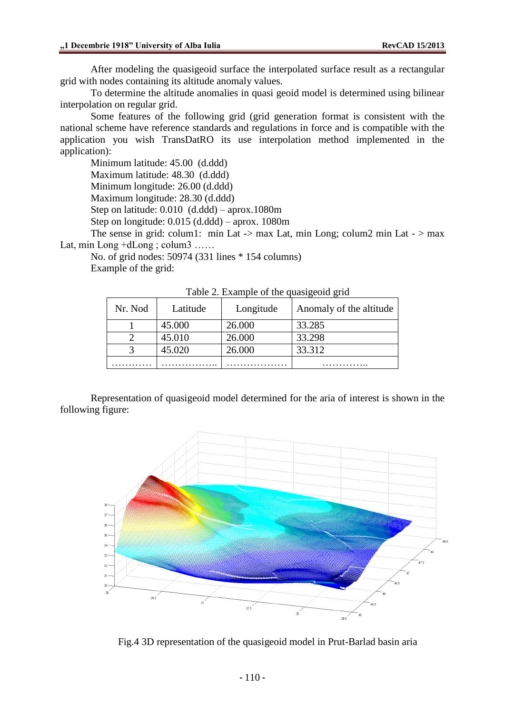After modeling the quasigeoid surface the interpolated surface result as a rectangular grid with nodes containing its altitude anomaly values.

To determine the altitude anomalies in quasi geoid model is determined using bilinear interpolation on regular grid.

Some features of the following grid (grid generation format is consistent with the national scheme have reference standards and regulations in force and is compatible with the application you wish TransDatRO its use interpolation method implemented in the application):

Minimum latitude: 45.00 (d.ddd)

Maximum latitude: 48.30 (d.ddd)

Minimum longitude: 26.00 (d.ddd)

Maximum longitude: 28.30 (d.ddd)

Step on latitude: 0.010 (d.ddd) – aprox.1080m

Step on longitude: 0.015 (d.ddd) – aprox. 1080m

The sense in grid: colum1: min Lat  $\rightarrow$  max Lat, min Long; colum2 min Lat  $\rightarrow$  max Lat, min Long +dLong ; colum3 ......

No. of grid nodes: 50974 (331 lines \* 154 columns) Example of the grid:

| Nr. Nod | Latitude | Longitude | Anomaly of the altitude |
|---------|----------|-----------|-------------------------|
|         | 45.000   | 26.000    | 33.285                  |
|         | 45.010   | 26.000    | 33.298                  |
|         | 45.020   | 26.000    | 33.312                  |
|         |          |           |                         |

Table 2. Example of the quasigeoid grid

Representation of quasigeoid model determined for the aria of interest is shown in the following figure:



Fig.4 3D representation of the quasigeoid model in Prut-Barlad basin aria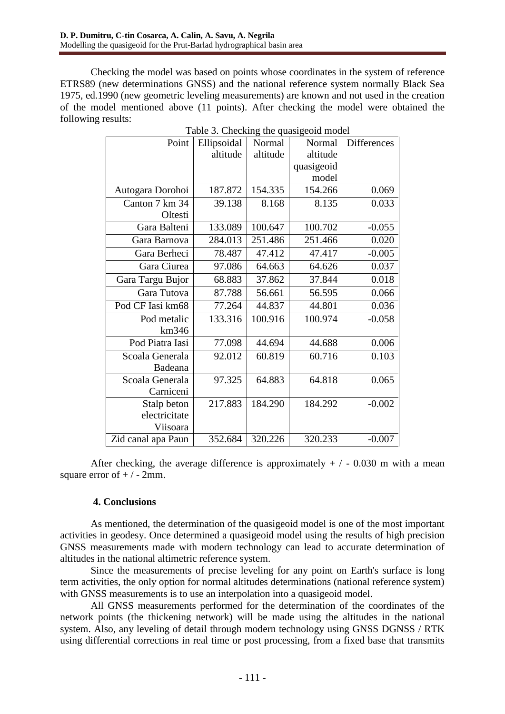Checking the model was based on points whose coordinates in the system of reference ETRS89 (new determinations GNSS) and the national reference system normally Black Sea 1975, ed.1990 (new geometric leveling measurements) are known and not used in the creation of the model mentioned above (11 points). After checking the model were obtained the following results:

| Point              | raone s. Cheening the quasigeone moder<br>Ellipsoidal | Normal   | Normal     | Differences |
|--------------------|-------------------------------------------------------|----------|------------|-------------|
|                    | altitude                                              | altitude | altitude   |             |
|                    |                                                       |          | quasigeoid |             |
|                    |                                                       |          | model      |             |
| Autogara Dorohoi   | 187.872                                               | 154.335  | 154.266    | 0.069       |
| Canton 7 km 34     | 39.138                                                | 8.168    | 8.135      | 0.033       |
| Oltesti            |                                                       |          |            |             |
| Gara Balteni       | 133.089                                               | 100.647  | 100.702    | $-0.055$    |
| Gara Barnova       | 284.013                                               | 251.486  | 251.466    | 0.020       |
| Gara Berheci       | 78.487                                                | 47.412   | 47.417     | $-0.005$    |
| Gara Ciurea        | 97.086                                                | 64.663   | 64.626     | 0.037       |
| Gara Targu Bujor   | 68.883                                                | 37.862   | 37.844     | 0.018       |
| Gara Tutova        | 87.788                                                | 56.661   | 56.595     | 0.066       |
| Pod CF Iasi km68   | 77.264                                                | 44.837   | 44.801     | 0.036       |
| Pod metalic        | 133.316                                               | 100.916  | 100.974    | $-0.058$    |
| km346              |                                                       |          |            |             |
| Pod Piatra Iasi    | 77.098                                                | 44.694   | 44.688     | 0.006       |
| Scoala Generala    | 92.012                                                | 60.819   | 60.716     | 0.103       |
| Badeana            |                                                       |          |            |             |
| Scoala Generala    | 97.325                                                | 64.883   | 64.818     | 0.065       |
| Carniceni          |                                                       |          |            |             |
| Stalp beton        | 217.883                                               | 184.290  | 184.292    | $-0.002$    |
| electricitate      |                                                       |          |            |             |
| Viisoara           |                                                       |          |            |             |
| Zid canal apa Paun | 352.684                                               | 320.226  | 320.233    | $-0.007$    |

| Table 3. Checking the quasigeoid model |  |  |
|----------------------------------------|--|--|
|                                        |  |  |

After checking, the average difference is approximately  $+/-0.030$  m with a mean square error of  $+/-2$ mm.

## **4. Conclusions**

As mentioned, the determination of the quasigeoid model is one of the most important activities in geodesy. Once determined a quasigeoid model using the results of high precision GNSS measurements made with modern technology can lead to accurate determination of altitudes in the national altimetric reference system.

Since the measurements of precise leveling for any point on Earth's surface is long term activities, the only option for normal altitudes determinations (national reference system) with GNSS measurements is to use an interpolation into a quasigeoid model.

All GNSS measurements performed for the determination of the coordinates of the network points (the thickening network) will be made using the altitudes in the national system. Also, any leveling of detail through modern technology using GNSS DGNSS / RTK using differential corrections in real time or post processing, from a fixed base that transmits